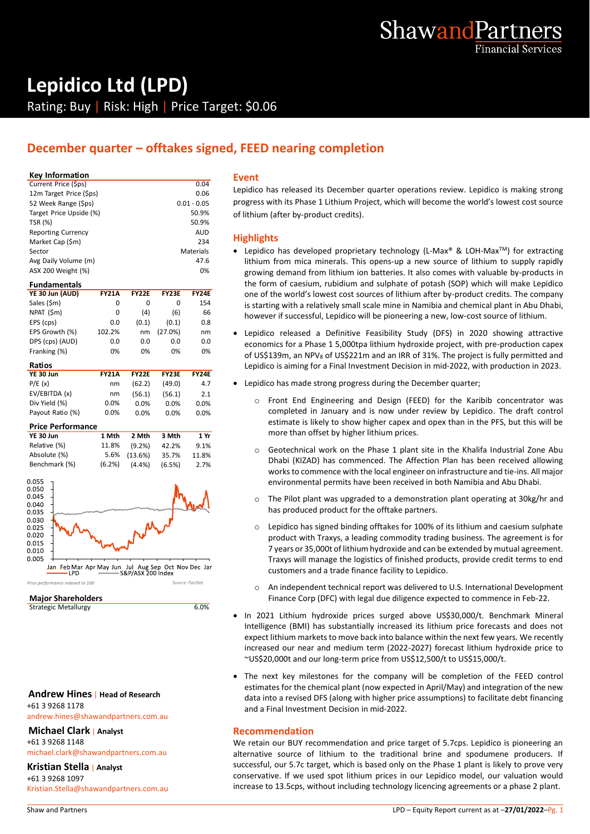

# **Lepidico Ltd (LPD)** Rating: Buy | Risk: High | Price Target: \$0.06

# **December quarter – offtakes signed, FEED nearing completion**

### **Key Information**

| Current Price (\$ps)      | 0.04          |
|---------------------------|---------------|
| 12m Target Price (\$ps)   | 0.06          |
| 52 Week Range (\$ps)      | $0.01 - 0.05$ |
| Target Price Upside (%)   | 50.9%         |
| <b>TSR (%)</b>            | 50.9%         |
| <b>Reporting Currency</b> | AUD           |
| Market Cap (\$m)          | 234           |
| Sector                    | Materials     |
| Avg Daily Volume (m)      | 47.6          |
| ASX 200 Weight (%)        | 0%            |

### **Fundamentals YE 30 Jun (AUD) FY21A FY22E FY23E FY24E** Sales (\$m) 0 0 0 154<br>NPAT (\$m) 0 (4) (6) 66 NPAT (\$m) 0 (4) (6) 66<br>EPS (cps) 0.0 (0.1) (0.1) 0.8  $EPS$  (cps) EPS Growth (%) 102.2% nm (27.0%) nm DPS (cps) (AUD) 0.0 0.0 0.0 0.0<br>Franking (%) 0% 0% 0% 0% 0% Franking (%) **Ratios**

| YE 30 Jun        | <b>FY21A</b> | <b>FY22E</b> | FY23E   | <b>FY24E</b> |
|------------------|--------------|--------------|---------|--------------|
| P/E(x)           | nm           | (62.2)       | (49.0)  | 4.7          |
| EV/EBITDA (x)    | nm           | (56.1)       | (56.1)  | 2.1          |
| Div Yield (%)    | 0.0%         | $0.0\%$      | 0.0%    | 0.0%         |
| Payout Ratio (%) | 0.0%         | $0.0\%$      | $0.0\%$ | 0.0%         |
|                  |              |              |         |              |

| <b>Price Performance</b> |           |              |        |       |
|--------------------------|-----------|--------------|--------|-------|
| YE 30 Jun                | 1 Mth     | 2 Mth        | 3 Mth  | 1 Yr  |
| Relative (%)             | 11.8%     | $(9.2\%)$    | 42.2%  | 9.1%  |
| Absolute (%)             |           | 5.6% (13.6%) | 35.7%  | 11.8% |
| Benchmark (%)            | $(6.2\%)$ | (4.4%        | (6.5%) | 2.7%  |



**Major Shareholders**

Strategic Metallurgy 6.0%

## **Andrew Hines** | **Head of Research** +61 3 9268 1178

andrew.hines@shawandpartners.com.au

## **Michael Clark** | **Analyst**

+61 3 9268 1148 michael.clark@shawandpartners.com.au

**Kristian Stella** | **Analyst**

+61 3 9268 1097 Kristian.Stella@shawandpartners.com.au

#### **Event**

Lepidico has released its December quarter operations review. Lepidico is making strong progress with its Phase 1 Lithium Project, which will become the world's lowest cost source of lithium (after by-product credits).

## **Highlights**

- Lepidico has developed proprietary technology (L-Max® & LOH-Max<sup>™</sup>) for extracting lithium from mica minerals. This opens-up a new source of lithium to supply rapidly growing demand from lithium ion batteries. It also comes with valuable by-products in the form of caesium, rubidium and sulphate of potash (SOP) which will make Lepidico one of the world's lowest cost sources of lithium after by-product credits. The company is starting with a relatively small scale mine in Namibia and chemical plant in Abu Dhabi, however if successful, Lepidico will be pioneering a new, low-cost source of lithium.
- Lepidico released a Definitive Feasibility Study (DFS) in 2020 showing attractive economics for a Phase 1 5,000tpa lithium hydroxide project, with pre-production capex of US\$139m, an NPV<sub>8</sub> of US\$221m and an IRR of 31%. The project is fully permitted and Lepidico is aiming for a Final Investment Decision in mid-2022, with production in 2023.
- Lepidico has made strong progress during the December quarter;
	- $\circ$  Front End Engineering and Design (FEED) for the Karibib concentrator was completed in January and is now under review by Lepidico. The draft control estimate is likely to show higher capex and opex than in the PFS, but this will be more than offset by higher lithium prices.
	- o Geotechnical work on the Phase 1 plant site in the Khalifa Industrial Zone Abu Dhabi (KIZAD) has commenced. The Affection Plan has been received allowing works to commence with the local engineer on infrastructure and tie-ins. All major environmental permits have been received in both Namibia and Abu Dhabi.
	- o The Pilot plant was upgraded to a demonstration plant operating at 30kg/hr and has produced product for the offtake partners.
	- o Lepidico has signed binding offtakes for 100% of its lithium and caesium sulphate product with Traxys, a leading commodity trading business. The agreement is for 7 years or 35,000t of lithium hydroxide and can be extended by mutual agreement. Traxys will manage the logistics of finished products, provide credit terms to end customers and a trade finance facility to Lepidico.
	- o An independent technical report was delivered to U.S. International Development Finance Corp (DFC) with legal due diligence expected to commence in Feb-22.
- In 2021 Lithium hydroxide prices surged above US\$30,000/t. Benchmark Mineral Intelligence (BMI) has substantially increased its lithium price forecasts and does not expect lithium markets to move back into balance within the next few years. We recently increased our near and medium term (2022-2027) forecast lithium hydroxide price to ~US\$20,000t and our long-term price from US\$12,500/t to US\$15,000/t.
- The next key milestones for the company will be completion of the FEED control estimates for the chemical plant (now expected in April/May) and integration of the new data into a revised DFS (along with higher price assumptions) to facilitate debt financing and a Final Investment Decision in mid-2022.

## **Recommendation**

We retain our BUY recommendation and price target of 5.7cps. Lepidico is pioneering an alternative source of lithium to the traditional brine and spodumene producers. If successful, our 5.7c target, which is based only on the Phase 1 plant is likely to prove very conservative. If we used spot lithium prices in our Lepidico model, our valuation would increase to 13.5cps, without including technology licencing agreements or a phase 2 plant.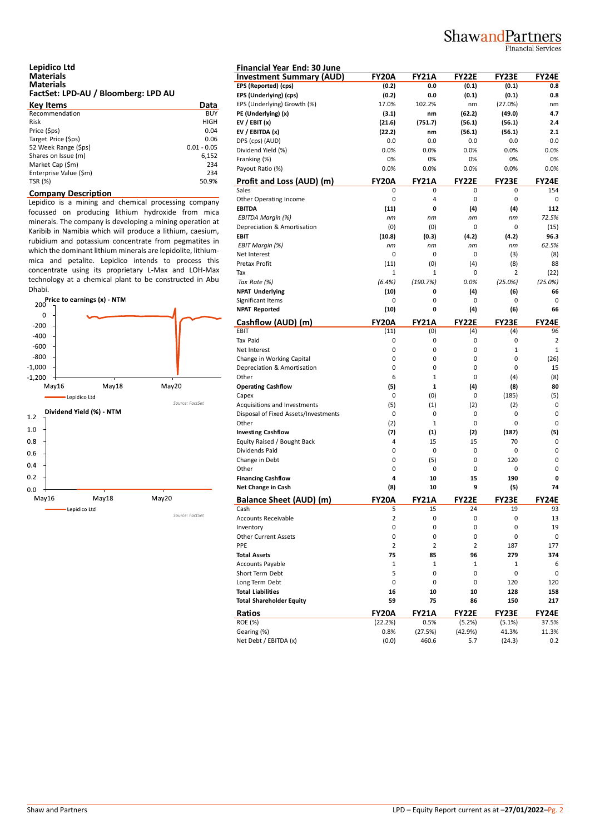# ShawandPartners

## **Financial Services**

#### **Lepidico Ltd Materials Materials FactSet: LPD-AU / Bloomberg: LPD AU**

| <b>Key Items</b>       | Data          |
|------------------------|---------------|
| Recommendation         | <b>BUY</b>    |
| Risk                   | <b>HIGH</b>   |
| Price (\$ps)           | 0.04          |
| Target Price (\$ps)    | 0.06          |
| 52 Week Range (\$ps)   | $0.01 - 0.05$ |
| Shares on Issue (m)    | 6,152         |
| Market Cap (\$m)       | 234           |
| Enterprise Value (\$m) | 234           |
| TSR (%)                | 50.9%         |

### **Company Description**

Lepidico is a mining and chemical processing company focussed on producing lithium hydroxide from mica minerals. The company is developing a mining operation at Karibib in Namibia which will produce a lithium, caesium, rubidium and potassium concentrate from pegmatites in which the dominant lithium minerals are lepidolite, lithiummica and petalite. Lepidico intends to process this concentrate using its proprietary L-Max and LOH-Max technology at a chemical plant to be constructed in Abu Dhabi.



| <b>Financial Year End: 30 June</b>      |                  |              |                         |              |              |
|-----------------------------------------|------------------|--------------|-------------------------|--------------|--------------|
| <b>Investment Summary (AUD)</b>         | <b>FY20A</b>     | <b>FY21A</b> | <b>FY22E</b>            | <b>FY23E</b> | <b>FY24E</b> |
| EPS (Reported) (cps)                    | (0.2)            | 0.0          | (0.1)                   | (0.1)        | 0.8          |
| EPS (Underlying) (cps)                  | (0.2)            | 0.0          | (0.1)                   | (0.1)        | 0.8          |
| EPS (Underlying) Growth (%)             | 17.0%            | 102.2%       | nm                      | (27.0%)      | nm           |
| PE (Underlying) (x)                     | (3.1)            | nm           | (62.2)                  | (49.0)       | 4.7          |
| EV / EBIT $(x)$                         | (21.6)           | (751.7)      | (56.1)                  | (56.1)       | 2.4          |
| EV / EBITDA (x)                         | (22.2)           | nm           | (56.1)                  | (56.1)       | 2.1          |
| DPS (cps) (AUD)                         | 0.0              | 0.0          | 0.0                     | 0.0          | 0.0          |
| Dividend Yield (%)                      | 0.0%             | 0.0%         | 0.0%                    | 0.0%         | 0.0%         |
| Franking (%)                            | 0%               | 0%           | 0%                      | 0%           | 0%           |
| Payout Ratio (%)                        | 0.0%             | 0.0%         | 0.0%                    | 0.0%         | 0.0%         |
|                                         | <b>FY20A</b>     | <b>FY21A</b> | <b>FY22E</b>            | <b>FY23E</b> | <b>FY24E</b> |
| Profit and Loss (AUD) (m)<br>Sales      | 0                | 0            | 0                       | 0            | 154          |
|                                         | 0                | 4            | 0                       | 0            | 0            |
| Other Operating Income<br><b>EBITDA</b> |                  |              |                         |              |              |
|                                         | (11)             | 0            | (4)                     | (4)          | 112          |
| EBITDA Margin (%)                       | пm               | пm           | пm                      | nm           | 72.5%        |
| Depreciation & Amortisation             | (0)              | (0)          | 0                       | 0            | (15)         |
| <b>EBIT</b>                             | (10.8)           | (0.3)        | (4.2)                   | (4.2)        | 96.3         |
| EBIT Margin (%)                         | nm               | nm           | nm                      | nm           | 62.5%        |
| Net Interest                            | 0                | 0            | 0                       | (3)          | (8)          |
| Pretax Profit                           | (11)             | (0)          | (4)                     | (8)          | 88           |
| Tax                                     | $\mathbf{1}$     | 1            | 0                       | 2            | (22)         |
| Tax Rate (%)                            | (6.4%)           | (190.7%)     | 0.0%                    | (25.0%)      | (25.0%)      |
| <b>NPAT Underlying</b>                  | (10)             | 0            | (4)                     | (6)          | 66           |
| Significant Items                       | 0                | 0            | 0                       | 0            | 0            |
| <b>NPAT Reported</b>                    | (10)             | 0            | (4)                     | (6)          | 66           |
| Cashflow (AUD) (m)                      | <b>FY20A</b>     | <b>FY21A</b> | <b>FY22E</b>            | <b>FY23E</b> | <b>FY24E</b> |
| EBIT                                    | (11)             | (0)          | (4)                     | (4)          | 96           |
| <b>Tax Paid</b>                         | 0                | 0            | 0                       | 0            | 2            |
| Net Interest                            | 0                | 0            | 0                       | 1            | $\mathbf{1}$ |
| Change in Working Capital               | 0                | 0            | 0                       | 0            | (26)         |
| Depreciation & Amortisation             | 0                | 0            | 0                       | 0            | 15           |
| Other                                   | 6                | $\mathbf{1}$ | 0                       | (4)          | (8)          |
| <b>Operating Cashflow</b>               | (5)              | 1            | (4)                     | (8)          | 80           |
| Capex                                   | 0                | (0)          | 0                       | (185)        | (5)          |
| Acquisitions and Investments            | (5)              | (1)          | (2)                     | (2)          | 0            |
| Disposal of Fixed Assets/Investments    | 0                | 0            | 0                       | 0            | 0            |
| Other                                   | (2)              | $\mathbf{1}$ | 0                       | 0            | 0            |
| <b>Investing Cashflow</b>               | (7)              | (1)          | (2)                     | (187)        | (5)          |
| Equity Raised / Bought Back             | 4                | 15           | 15                      | 70           | 0            |
| Dividends Paid                          | 0                | 0            | 0                       | 0            | 0            |
|                                         | 0                | (5)          | 0                       | 120          | 0            |
| Change in Debt<br>Other                 |                  |              |                         |              | 0            |
|                                         | 0                | 0            | 0                       | 0            |              |
| <b>Financing Cashflow</b>               | 4                | 10           | 15                      | 190          | 0            |
| Net Change in Cash                      | (8)              | 10           | 9                       | (5)          | 74           |
| <b>Balance Sheet (AUD) (m)</b>          | <b>FY20A</b>     | <b>FY21A</b> | <b>FY22E</b>            | <b>FY23E</b> | <b>FY24E</b> |
|                                         | э                | 15           | 24                      | 19           | 93           |
| Accounts Receivable                     | 2                | 0            | 0                       | 0            | 13           |
| Inventory                               | 0                | 0            | 0                       | 0            | 19           |
| <b>Other Current Assets</b>             | 0                | 0            | 0                       | 0            | 0            |
| PPE                                     | $\overline{2}$   | 2            | $\overline{\mathbf{c}}$ | 187          | 177          |
| <b>Total Assets</b>                     | 75               | 85           | 96                      | 279          | 374          |
| <b>Accounts Payable</b>                 | $\mathbf{1}$     | 1            | $\mathbf 1$             | 1            | 6            |
| Short Term Debt                         | 5                | 0            | 0                       | 0            | 0            |
| Long Term Debt                          | 0                | 0            | 0                       | 120          | 120          |
| <b>Total Liabilities</b>                | 16               | 10           | 10                      | 128          | 158          |
| <b>Total Shareholder Equity</b>         | 59               | 75           | 86                      | 150          | 217          |
| Ratios                                  |                  | <b>FY21A</b> | <b>FY22E</b>            | <b>FY23E</b> | FY24E        |
| <b>ROE (%)</b>                          | FY20A<br>(22.2%) | 0.5%         |                         |              | 37.5%        |
| Gearing (%)                             | 0.8%             |              | (5.2%)                  | (5.1%)       | 11.3%        |
|                                         |                  | (27.5%)      | (42.9%)                 | 41.3%        |              |
| Net Debt / EBITDA (x)                   | (0.0)            | 460.6        | 5.7                     | (24.3)       | 0.2          |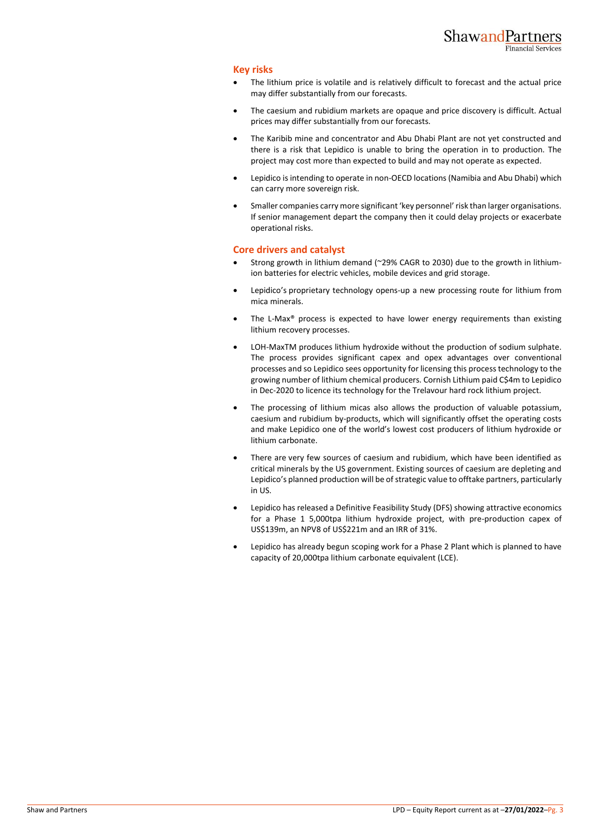### **Key risks**

- The lithium price is volatile and is relatively difficult to forecast and the actual price may differ substantially from our forecasts.
- The caesium and rubidium markets are opaque and price discovery is difficult. Actual prices may differ substantially from our forecasts.
- The Karibib mine and concentrator and Abu Dhabi Plant are not yet constructed and there is a risk that Lepidico is unable to bring the operation in to production. The project may cost more than expected to build and may not operate as expected.
- Lepidico is intending to operate in non-OECD locations (Namibia and Abu Dhabi) which can carry more sovereign risk.
- Smaller companies carry more significant 'key personnel' risk than larger organisations. If senior management depart the company then it could delay projects or exacerbate operational risks.

## **Core drivers and catalyst**

- Strong growth in lithium demand (~29% CAGR to 2030) due to the growth in lithiumion batteries for electric vehicles, mobile devices and grid storage.
- Lepidico's proprietary technology opens-up a new processing route for lithium from mica minerals.
- The L-Max<sup>®</sup> process is expected to have lower energy requirements than existing lithium recovery processes.
- LOH-MaxTM produces lithium hydroxide without the production of sodium sulphate. The process provides significant capex and opex advantages over conventional processes and so Lepidico sees opportunity for licensing this process technology to the growing number of lithium chemical producers. Cornish Lithium paid C\$4m to Lepidico in Dec-2020 to licence its technology for the Trelavour hard rock lithium project.
- The processing of lithium micas also allows the production of valuable potassium, caesium and rubidium by-products, which will significantly offset the operating costs and make Lepidico one of the world's lowest cost producers of lithium hydroxide or lithium carbonate.
- There are very few sources of caesium and rubidium, which have been identified as critical minerals by the US government. Existing sources of caesium are depleting and Lepidico's planned production will be of strategic value to offtake partners, particularly in US.
- Lepidico has released a Definitive Feasibility Study (DFS) showing attractive economics for a Phase 1 5,000tpa lithium hydroxide project, with pre-production capex of US\$139m, an NPV8 of US\$221m and an IRR of 31%.
- Lepidico has already begun scoping work for a Phase 2 Plant which is planned to have capacity of 20,000tpa lithium carbonate equivalent (LCE).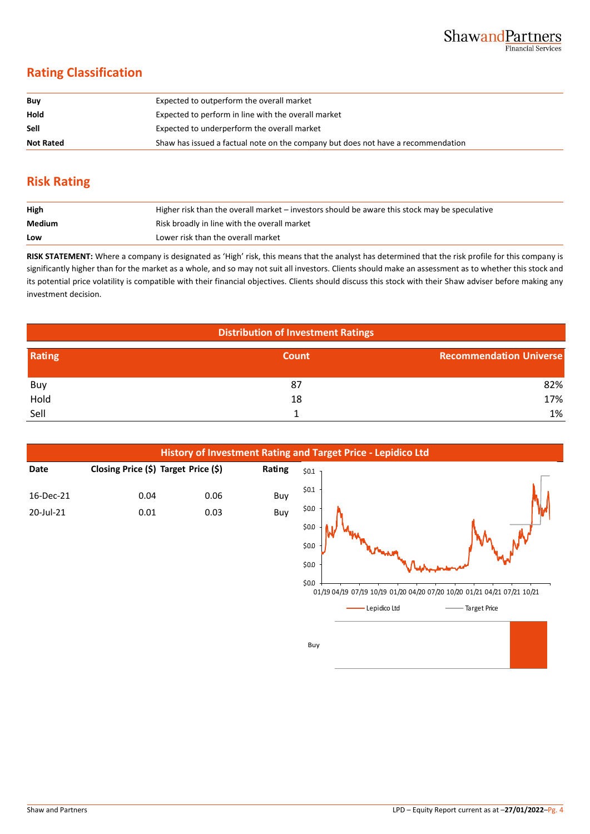# **Rating Classification**

| Buy              | Expected to outperform the overall market                                        |
|------------------|----------------------------------------------------------------------------------|
| Hold             | Expected to perform in line with the overall market                              |
| <b>Sell</b>      | Expected to underperform the overall market                                      |
| <b>Not Rated</b> | Shaw has issued a factual note on the company but does not have a recommendation |

# **Risk Rating**

| High   | Higher risk than the overall market – investors should be aware this stock may be speculative |
|--------|-----------------------------------------------------------------------------------------------|
| Medium | Risk broadly in line with the overall market                                                  |
| Low    | Lower risk than the overall market                                                            |

**RISK STATEMENT:** Where a company is designated as 'High' risk, this means that the analyst has determined that the risk profile for this company is significantly higher than for the market as a whole, and so may not suit all investors. Clients should make an assessment as to whether this stock and its potential price volatility is compatible with their financial objectives. Clients should discuss this stock with their Shaw adviser before making any investment decision.

| <b>Distribution of Investment Ratings</b> |              |                                |  |  |
|-------------------------------------------|--------------|--------------------------------|--|--|
| Rating                                    | <b>Count</b> | <b>Recommendation Universe</b> |  |  |
| Buy                                       | 87           | 82%                            |  |  |
| Hold                                      | 18           | 17%                            |  |  |
| Sell                                      |              | 1%                             |  |  |



Buy